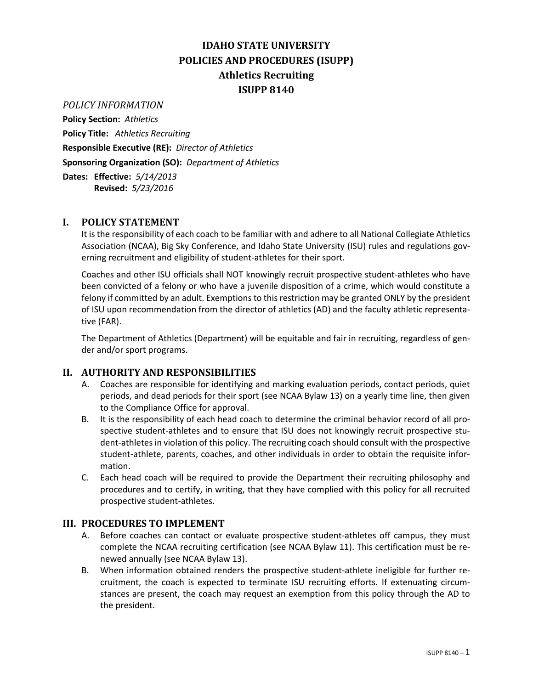# **IDAHO STATE UNIVERSITY POLICIES AND PROCEDURES (ISUPP) Athletics Recruiting ISUPP 8140**

*POLICY INFORMATION*

**Policy Section:** *Athletics* **Policy Title:** *Athletics Recruiting* **Responsible Executive (RE):** *Director of Athletics* **Sponsoring Organization (SO):** *Department of Athletics* **Dates: Effective:** *5/14/2013*

**Revised:** *5/23/2016*

## **I. POLICY STATEMENT**

It is the responsibility of each coach to be familiar with and adhere to all National Collegiate Athletics Association (NCAA), Big Sky Conference, and Idaho State University (ISU) rules and regulations governing recruitment and eligibility of student-athletes for their sport.

Coaches and other ISU officials shall NOT knowingly recruit prospective student-athletes who have been convicted of a felony or who have a juvenile disposition of a crime, which would constitute a felony if committed by an adult. Exemptions to this restriction may be granted ONLY by the president of ISU upon recommendation from the director of athletics (AD) and the faculty athletic representative (FAR).

The Department of Athletics (Department) will be equitable and fair in recruiting, regardless of gender and/or sport programs.

### **II. AUTHORITY AND RESPONSIBILITIES**

- A. Coaches are responsible for identifying and marking evaluation periods, contact periods, quiet periods, and dead periods for their sport (see NCAA Bylaw 13) on a yearly time line, then given to the Compliance Office for approval.
- B. It is the responsibility of each head coach to determine the criminal behavior record of all prospective student-athletes and to ensure that ISU does not knowingly recruit prospective student-athletes in violation of this policy. The recruiting coach should consult with the prospective student-athlete, parents, coaches, and other individuals in order to obtain the requisite information.
- C. Each head coach will be required to provide the Department their recruiting philosophy and procedures and to certify, in writing, that they have complied with this policy for all recruited prospective student-athletes.

### **III. PROCEDURES TO IMPLEMENT**

- A. Before coaches can contact or evaluate prospective student-athletes off campus, they must complete the NCAA recruiting certification (see NCAA Bylaw 11). This certification must be renewed annually (see NCAA Bylaw 13).
- B. When information obtained renders the prospective student-athlete ineligible for further recruitment, the coach is expected to terminate ISU recruiting efforts. If extenuating circumstances are present, the coach may request an exemption from this policy through the AD to the president.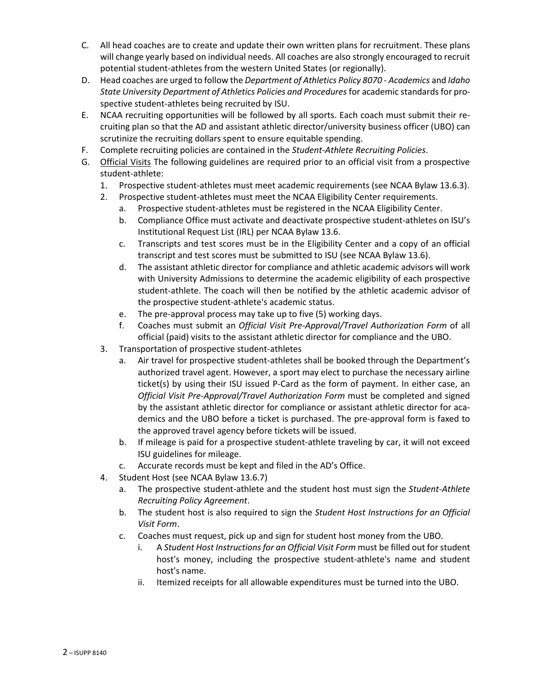- C. All head coaches are to create and update their own written plans for recruitment. These plans will change yearly based on individual needs. All coaches are also strongly encouraged to recruit potential student-athletes from the western United States (or regionally).
- D. Head coaches are urged to follow the *Department of Athletics Policy 8070 - Academics* and *Idaho State University Department of Athletics Policies and Procedures* for academic standards for prospective student-athletes being recruited by ISU.
- E. NCAA recruiting opportunities will be followed by all sports. Each coach must submit their recruiting plan so that the AD and assistant athletic director/university business officer (UBO) can scrutinize the recruiting dollars spent to ensure equitable spending.
- F. Complete recruiting policies are contained in the *Student-Athlete Recruiting Policies*.
- G. Official Visits The following guidelines are required prior to an official visit from a prospective student-athlete:
	- 1. Prospective student-athletes must meet academic requirements (see NCAA Bylaw 13.6.3).
	- 2. Prospective student-athletes must meet the NCAA Eligibility Center requirements.
		- a. Prospective student-athletes must be registered in the NCAA Eligibility Center.
			- b. Compliance Office must activate and deactivate prospective student-athletes on ISU's Institutional Request List (IRL) per NCAA Bylaw 13.6.
			- c. Transcripts and test scores must be in the Eligibility Center and a copy of an official transcript and test scores must be submitted to ISU (see NCAA Bylaw 13.6).
			- d. The assistant athletic director for compliance and athletic academic advisors will work with University Admissions to determine the academic eligibility of each prospective student-athlete. The coach will then be notified by the athletic academic advisor of the prospective student-athlete's academic status.
			- e. The pre-approval process may take up to five (5) working days.
			- f. Coaches must submit an *Official Visit Pre-Approval/Travel Authorization Form* of all official (paid) visits to the assistant athletic director for compliance and the UBO.
	- 3. Transportation of prospective student-athletes
		- a. Air travel for prospective student-athletes shall be booked through the Department's authorized travel agent. However, a sport may elect to purchase the necessary airline ticket(s) by using their ISU issued P-Card as the form of payment. In either case, an *Official Visit Pre-Approval/Travel Authorization Form* must be completed and signed by the assistant athletic director for compliance or assistant athletic director for academics and the UBO before a ticket is purchased. The pre-approval form is faxed to the approved travel agency before tickets will be issued.
		- b. If mileage is paid for a prospective student-athlete traveling by car, it will not exceed ISU guidelines for mileage.
		- c. Accurate records must be kept and filed in the AD's Office.
	- 4. Student Host (see NCAA Bylaw 13.6.7)
		- a. The prospective student-athlete and the student host must sign the *Student-Athlete Recruiting Policy Agreement*.
		- b. The student host is also required to sign the *Student Host Instructions for an Official Visit Form*.
		- c. Coaches must request, pick up and sign for student host money from the UBO.
			- i. A *Student Host Instructions for an Official Visit Form* must be filled out for student host's money, including the prospective student-athlete's name and student host's name.
			- ii. Itemized receipts for all allowable expenditures must be turned into the UBO.